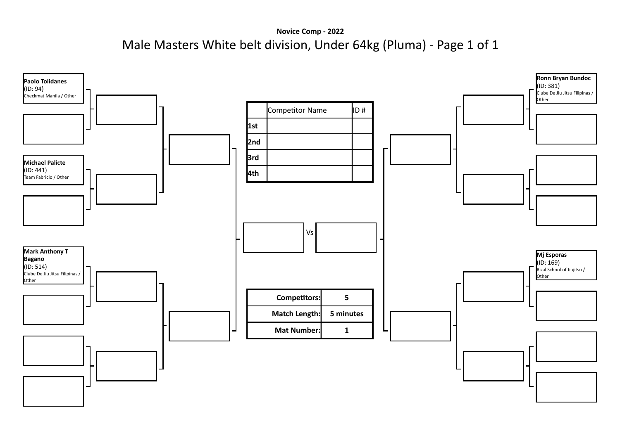**Novice Comp - 2022** Male Masters White belt division, Under 64kg (Pluma) - Page 1 of 1

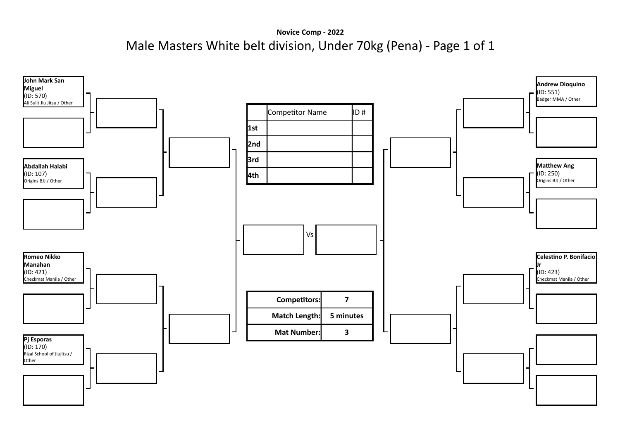**Novice Comp - 2022** Male Masters White belt division, Under 70kg (Pena) - Page 1 of 1

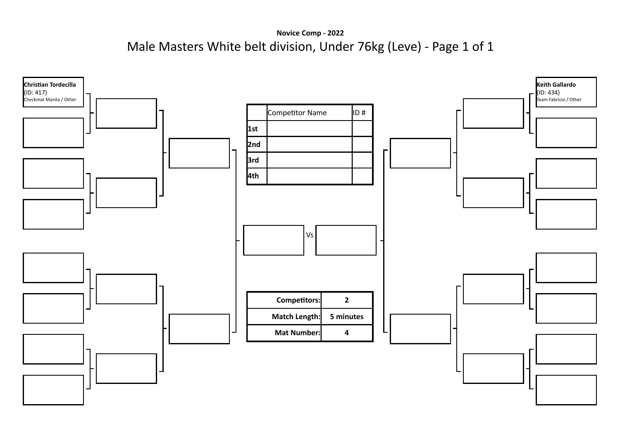**Novice Comp - 2022** Male Masters White belt division, Under 76kg (Leve) - Page 1 of 1

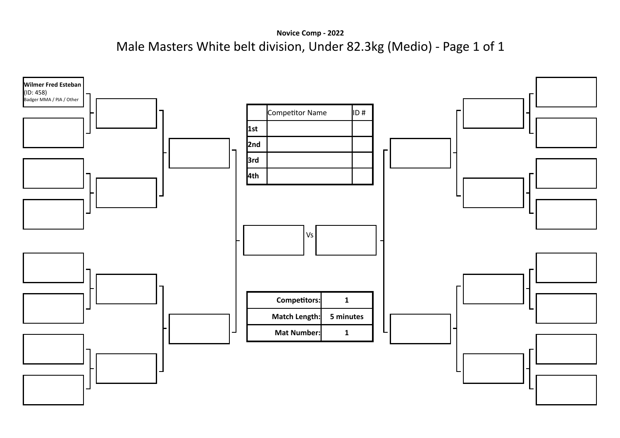**Novice Comp - 2022** Male Masters White belt division, Under 82.3kg (Medio) - Page 1 of 1

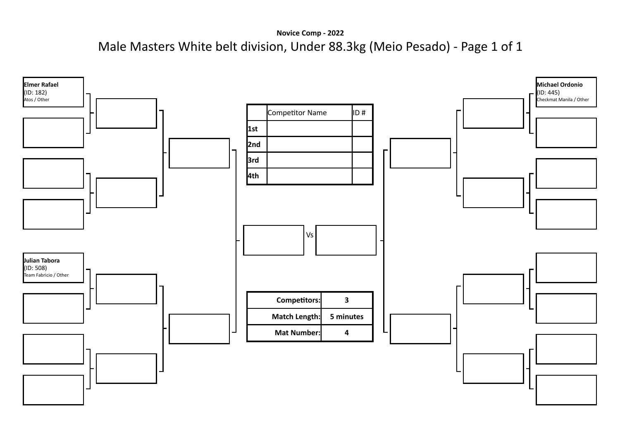**Novice Comp - 2022** Male Masters White belt division, Under 88.3kg (Meio Pesado) - Page 1 of 1

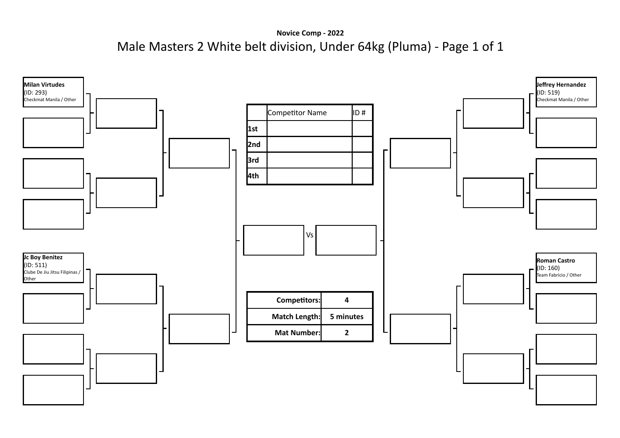**Novice Comp - 2022** Male Masters 2 White belt division, Under 64kg (Pluma) - Page 1 of 1

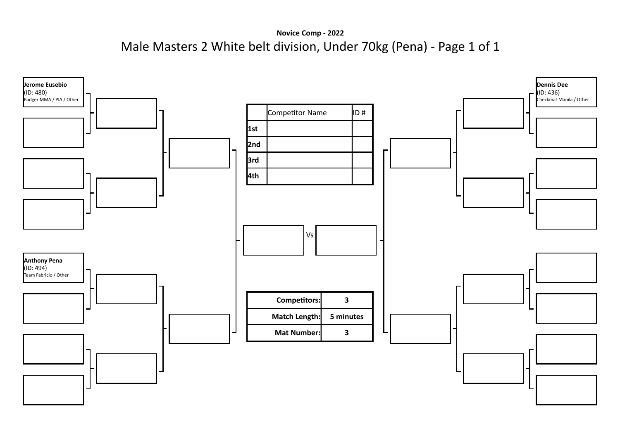**Novice Comp - 2022** Male Masters 2 White belt division, Under 70kg (Pena) - Page 1 of 1

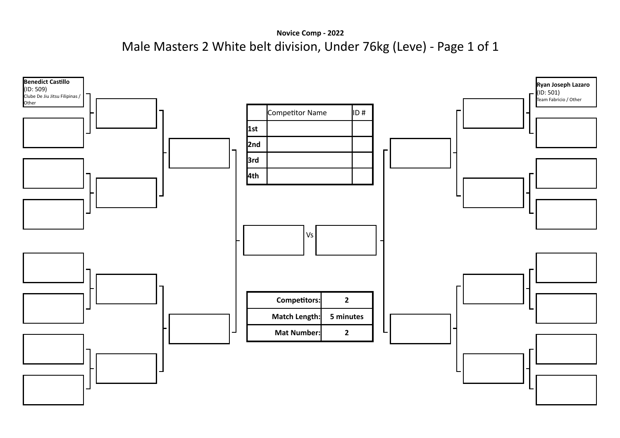**Novice Comp - 2022** Male Masters 2 White belt division, Under 76kg (Leve) - Page 1 of 1

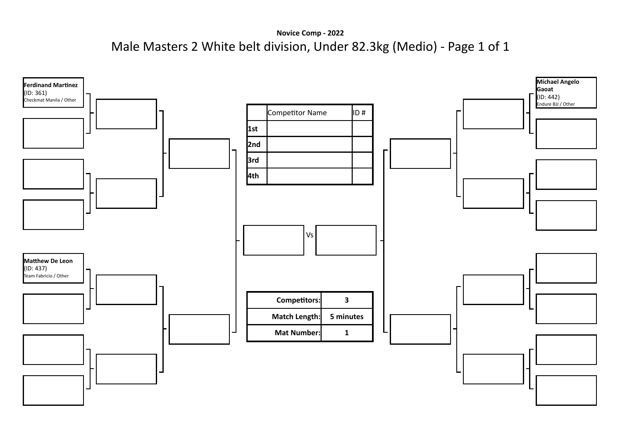**Novice Comp - 2022** Male Masters 2 White belt division, Under 82.3kg (Medio) - Page 1 of 1

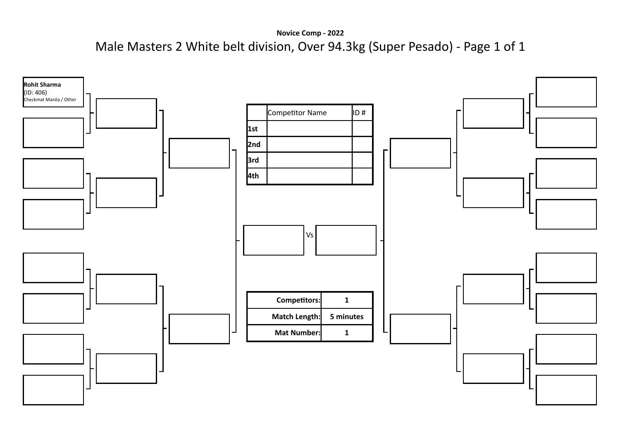**Novice Comp - 2022** Male Masters 2 White belt division, Over 94.3kg (Super Pesado) - Page 1 of 1

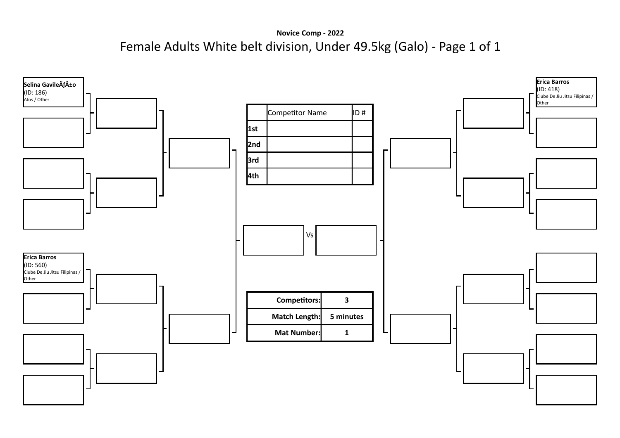**Novice Comp - 2022** Female Adults White belt division, Under 49.5kg (Galo) - Page 1 of 1

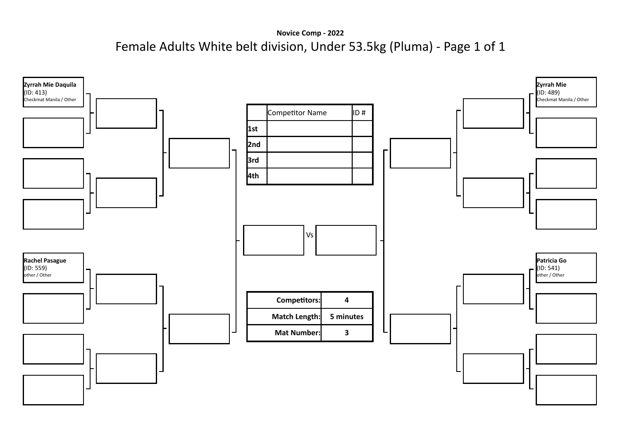**Novice Comp - 2022** Female Adults White belt division, Under 53.5kg (Pluma) - Page 1 of 1

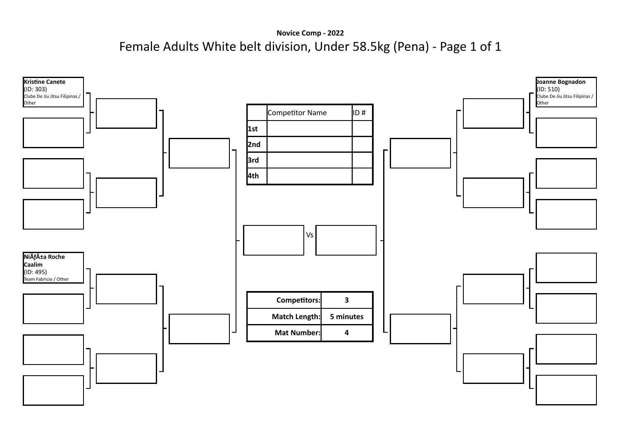**Novice Comp - 2022** Female Adults White belt division, Under 58.5kg (Pena) - Page 1 of 1

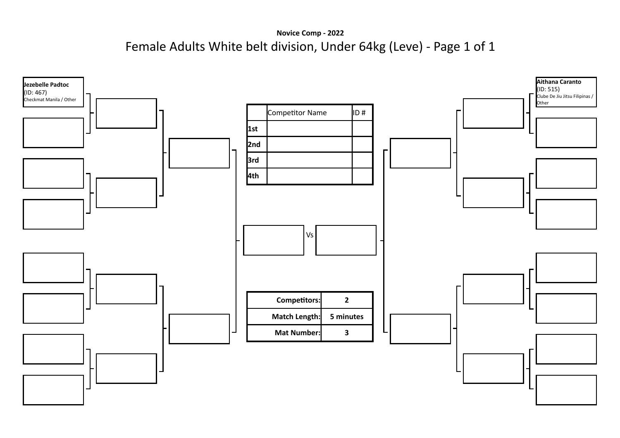**Novice Comp - 2022** Female Adults White belt division, Under 64kg (Leve) - Page 1 of 1

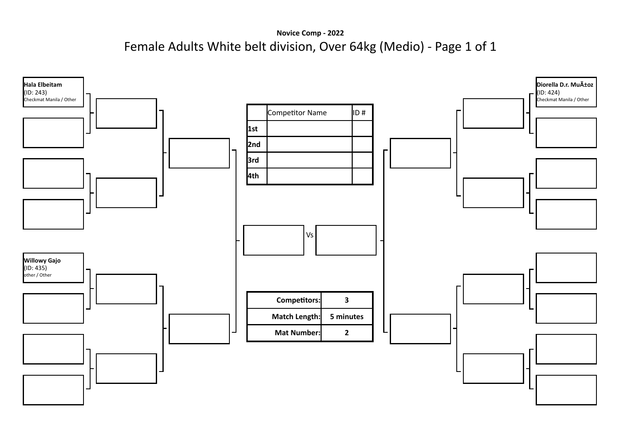**Novice Comp - 2022** Female Adults White belt division, Over 64kg (Medio) - Page 1 of 1

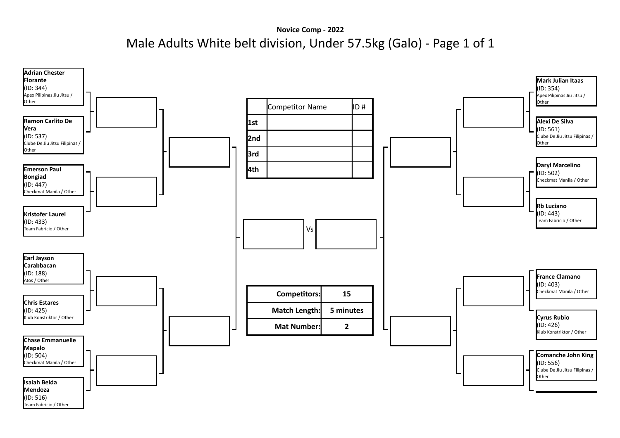**Novice Comp - 2022** Male Adults White belt division, Under 57.5kg (Galo) - Page 1 of 1

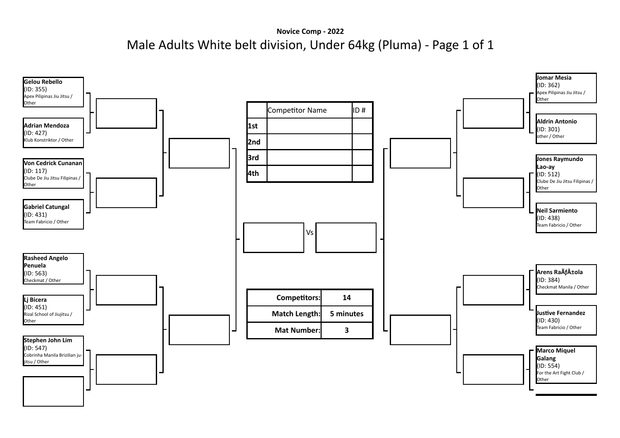**Novice Comp - 2022** Male Adults White belt division, Under 64kg (Pluma) - Page 1 of 1

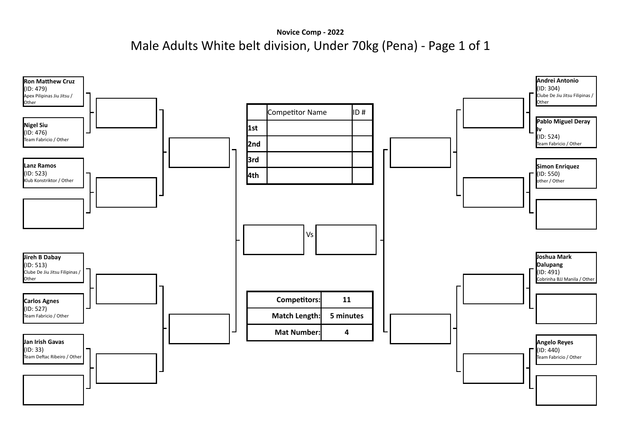**Novice Comp - 2022** Male Adults White belt division, Under 70kg (Pena) - Page 1 of 1

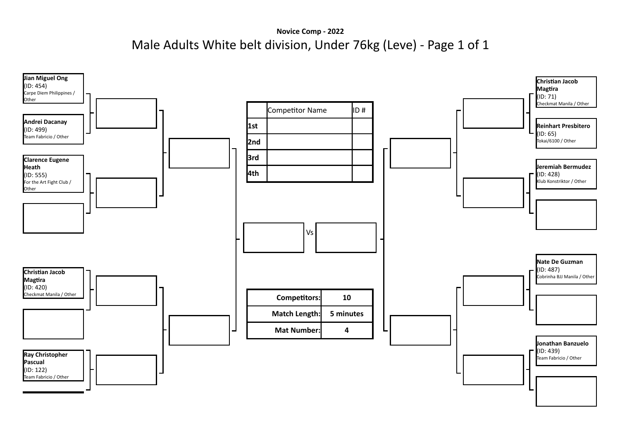**Novice Comp - 2022** Male Adults White belt division, Under 76kg (Leve) - Page 1 of 1

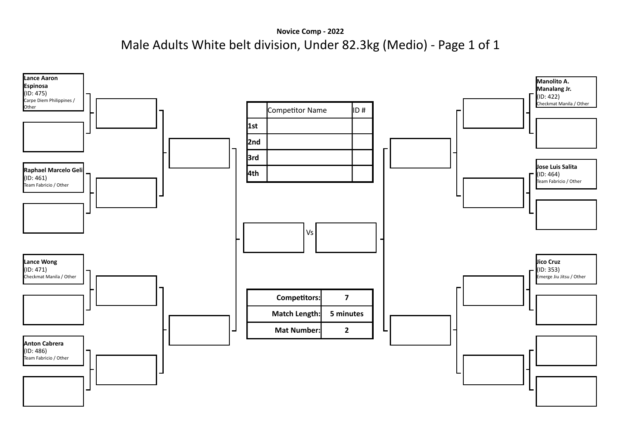**Novice Comp - 2022** Male Adults White belt division, Under 82.3kg (Medio) - Page 1 of 1

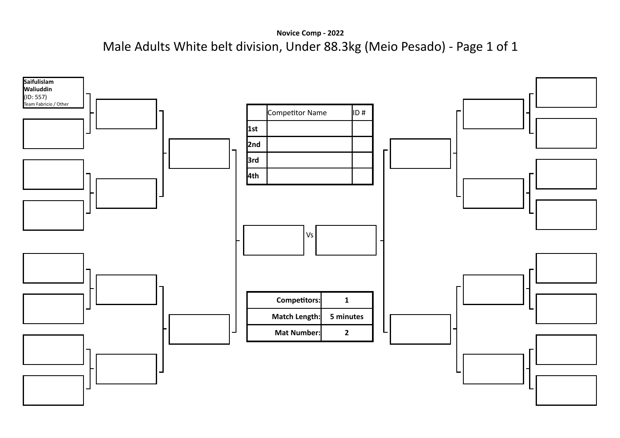**Novice Comp - 2022** Male Adults White belt division, Under 88.3kg (Meio Pesado) - Page 1 of 1

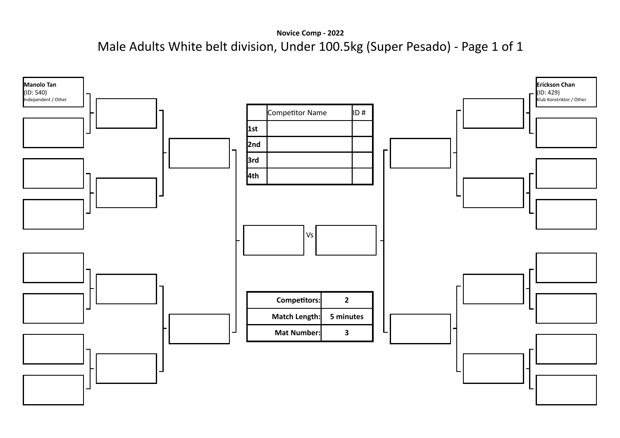**Novice Comp - 2022** Male Adults White belt division, Under 100.5kg (Super Pesado) - Page 1 of 1

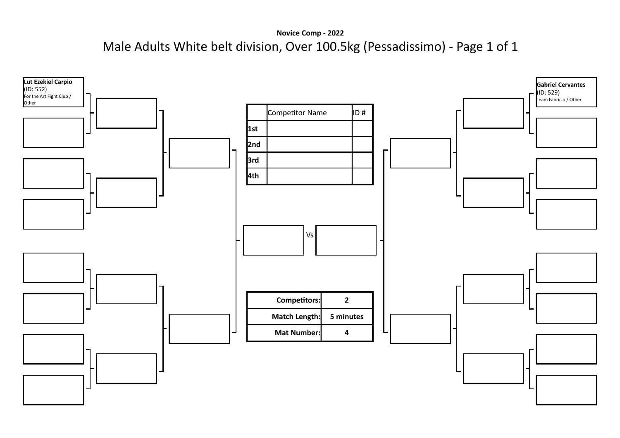**Novice Comp - 2022** Male Adults White belt division, Over 100.5kg (Pessadissimo) - Page 1 of 1

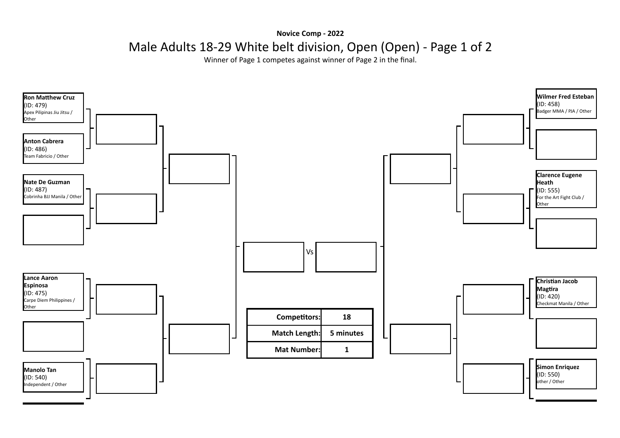## **Novice Comp - 2022** Male Adults 18-29 White belt division, Open (Open) - Page 1 of 2

Winner of Page 1 competes against winner of Page 2 in the final.

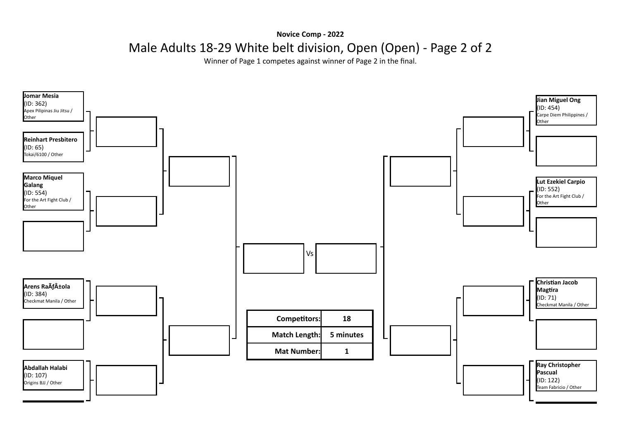**Novice Comp - 2022**

Male Adults 18-29 White belt division, Open (Open) - Page 2 of 2

Winner of Page 1 competes against winner of Page 2 in the final.

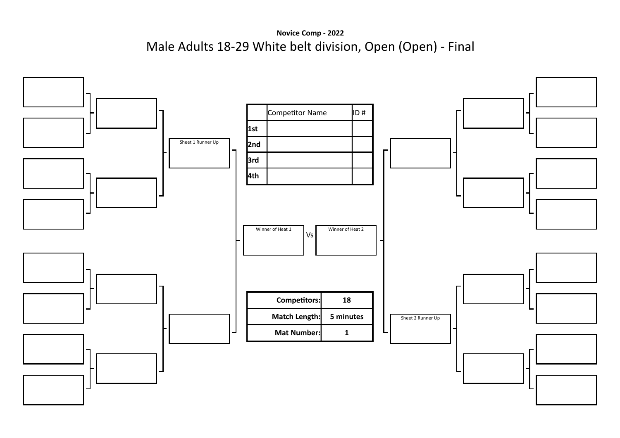**Novice Comp - 2022** Male Adults 18-29 White belt division, Open (Open) - Final